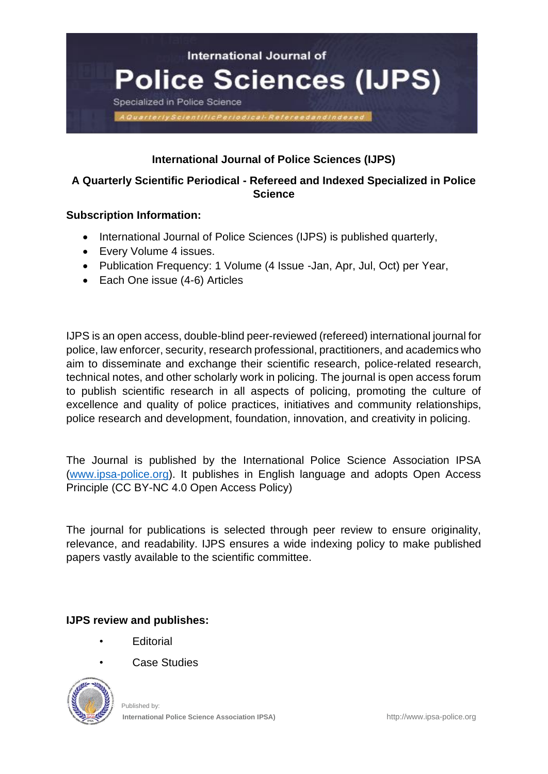

# **International Journal of Police Sciences (IJPS)**

## **A Quarterly Scientific Periodical - Refereed and Indexed Specialized in Police Science**

## **Subscription Information:**

- International Journal of Police Sciences (IJPS) is published quarterly,
- Every Volume 4 issues.
- Publication Frequency: 1 Volume (4 Issue -Jan, Apr, Jul, Oct) per Year,
- Each One issue (4-6) Articles

IJPS is an open access, double-blind peer-reviewed (refereed) international journal for police, law enforcer, security, research professional, practitioners, and academics who aim to disseminate and exchange their scientific research, police-related research, technical notes, and other scholarly work in policing. The journal is open access forum to publish scientific research in all aspects of policing, promoting the culture of excellence and quality of police practices, initiatives and community relationships, police research and development, foundation, innovation, and creativity in policing.

The Journal is published by the International Police Science Association IPSA [\(www.ipsa-police.org\)](http://www.ipsa-police.org/). It publishes in English language and adopts Open Access Principle (CC BY-NC 4.0 Open Access Policy)

The journal for publications is selected through peer review to ensure originality, relevance, and readability. IJPS ensures a wide indexing policy to make published papers vastly available to the scientific committee.

**IJPS review and publishes:**

- **Fditorial**
- **Case Studies**

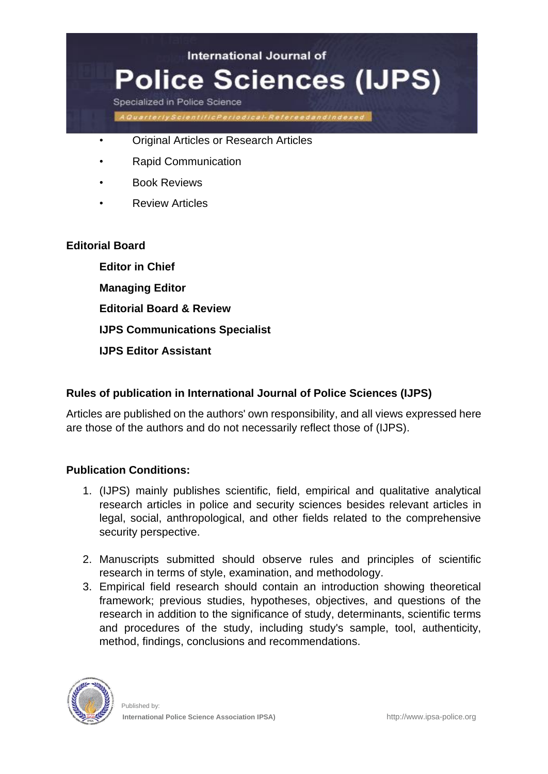

- Original Articles or Research Articles
- Rapid Communication
- Book Reviews
- **Review Articles**

#### **Editorial Board**

**Editor in Chief Managing Editor Editorial Board & Review IJPS Communications Specialist IJPS Editor Assistant**

## **Rules of publication in International Journal of Police Sciences (IJPS)**

Articles are published on the authors' own responsibility, and all views expressed here are those of the authors and do not necessarily reflect those of (IJPS).

## **Publication Conditions:**

- 1. (IJPS) mainly publishes scientific, field, empirical and qualitative analytical research articles in police and security sciences besides relevant articles in legal, social, anthropological, and other fields related to the comprehensive security perspective.
- 2. Manuscripts submitted should observe rules and principles of scientific research in terms of style, examination, and methodology.
- 3. Empirical field research should contain an introduction showing theoretical framework; previous studies, hypotheses, objectives, and questions of the research in addition to the significance of study, determinants, scientific terms and procedures of the study, including study's sample, tool, authenticity, method, findings, conclusions and recommendations.

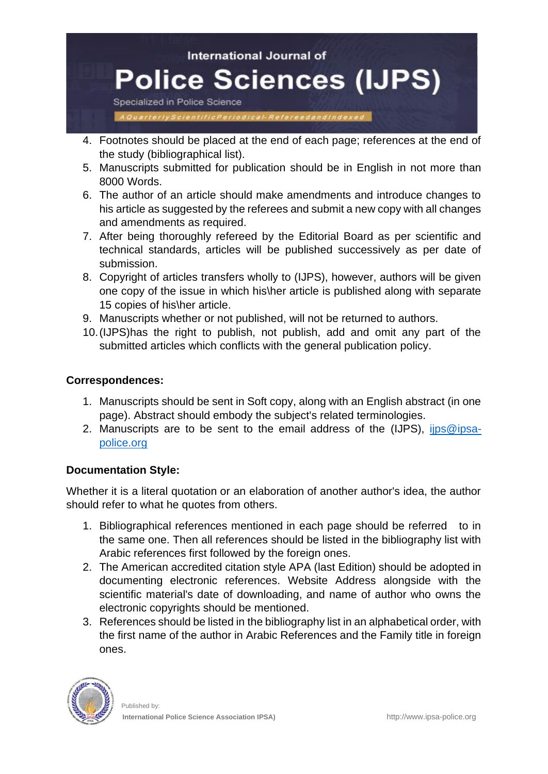

- 4. Footnotes should be placed at the end of each page; references at the end of the study (bibliographical list).
- 5. Manuscripts submitted for publication should be in English in not more than 8000 Words.
- 6. The author of an article should make amendments and introduce changes to his article as suggested by the referees and submit a new copy with all changes and amendments as required.
- 7. After being thoroughly refereed by the Editorial Board as per scientific and technical standards, articles will be published successively as per date of submission.
- 8. Copyright of articles transfers wholly to (IJPS), however, authors will be given one copy of the issue in which his\her article is published along with separate 15 copies of his\her article.
- 9. Manuscripts whether or not published, will not be returned to authors.
- 10.(IJPS)has the right to publish, not publish, add and omit any part of the submitted articles which conflicts with the general publication policy.

## **Correspondences:**

- 1. Manuscripts should be sent in Soft copy, along with an English abstract (in one page). Abstract should embody the subject's related terminologies.
- 2. Manuscripts are to be sent to the email address of the (IJPS), [ijps@ipsa](mailto:ijps@ipsa-police.org)[police.org](mailto:ijps@ipsa-police.org)

# **Documentation Style:**

Whether it is a literal quotation or an elaboration of another author's idea, the author should refer to what he quotes from others.

- 1. Bibliographical references mentioned in each page should be referred to in the same one. Then all references should be listed in the bibliography list with Arabic references first followed by the foreign ones.
- 2. The American accredited citation style APA (last Edition) should be adopted in documenting electronic references. Website Address alongside with the scientific material's date of downloading, and name of author who owns the electronic copyrights should be mentioned.
- 3. References should be listed in the bibliography list in an alphabetical order, with the first name of the author in Arabic References and the Family title in foreign ones.